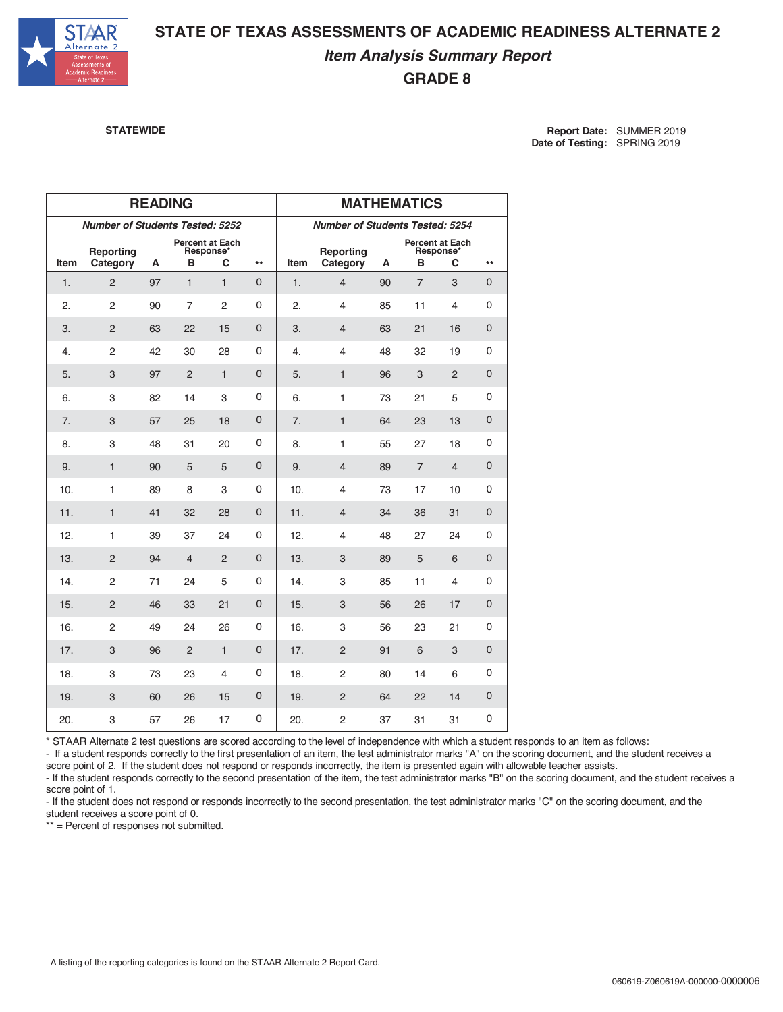

## **STATE OF TEXAS ASSESSMENTS OF ACADEMIC READINESS ALTERNATE 2** *Item Analysis Summary Report* **GRADE 8**

**STATEWIDE Report Date:** SUMMER 2019 **Date of Testing:** SPRING 2019

|      |                                        | <b>READING</b> |                      |                | <b>MATHEMATICS</b>                     |      |                       |    |                |                                   |                     |
|------|----------------------------------------|----------------|----------------------|----------------|----------------------------------------|------|-----------------------|----|----------------|-----------------------------------|---------------------|
|      | <b>Number of Students Tested: 5252</b> |                |                      |                | <b>Number of Students Tested: 5254</b> |      |                       |    |                |                                   |                     |
| Item | Reporting<br>Category                  | А              | Percent at Each<br>в | Response*<br>С | $\star\star$                           | Item | Reporting<br>Category | А  | в              | Percent at Each<br>Response*<br>С | $\star\star$        |
| 1.   | $\overline{2}$                         | 97             | $\mathbf{1}$         | $\mathbf{1}$   | 0                                      | 1.   | $\overline{4}$        | 90 | $\overline{7}$ | 3                                 | 0                   |
| 2.   | $\overline{2}$                         | 90             | $\overline{7}$       | $\overline{2}$ | 0                                      | 2.   | 4                     | 85 | 11             | 4                                 | 0                   |
| 3.   | $\overline{c}$                         | 63             | 22                   | 15             | $\mathbf 0$                            | 3.   | $\overline{4}$        | 63 | 21             | 16                                | $\mathbf 0$         |
| 4.   | $\overline{2}$                         | 42             | 30                   | 28             | 0                                      | 4.   | 4                     | 48 | 32             | 19                                | 0                   |
| 5.   | 3                                      | 97             | 2                    | $\mathbf{1}$   | $\mathbf 0$                            | 5.   | $\mathbf{1}$          | 96 | 3              | $\overline{2}$                    | 0                   |
| 6.   | 3                                      | 82             | 14                   | 3              | 0                                      | 6.   | 1                     | 73 | 21             | 5                                 | 0                   |
| 7.   | 3                                      | 57             | 25                   | 18             | $\mathbf 0$                            | 7.   | $\mathbf{1}$          | 64 | 23             | 13                                | 0                   |
| 8.   | 3                                      | 48             | 31                   | 20             | 0                                      | 8.   | $\mathbf{1}$          | 55 | 27             | 18                                | 0                   |
| 9.   | $\mathbf{1}$                           | 90             | 5                    | 5              | $\mathbf{0}$                           | 9.   | $\overline{4}$        | 89 | $\overline{7}$ | $\overline{4}$                    | $\mathbf 0$         |
| 10.  | 1                                      | 89             | 8                    | 3              | 0                                      | 10.  | 4                     | 73 | 17             | 10                                | 0                   |
| 11.  | $\mathbf{1}$                           | 41             | 32                   | 28             | 0                                      | 11.  | 4                     | 34 | 36             | 31                                | 0                   |
| 12.  | 1                                      | 39             | 37                   | 24             | 0                                      | 12.  | 4                     | 48 | 27             | 24                                | 0                   |
| 13.  | $\overline{2}$                         | 94             | $\overline{4}$       | $\overline{2}$ | $\overline{0}$                         | 13.  | 3                     | 89 | 5              | 6                                 | $\mathbf 0$         |
| 14.  | $\overline{2}$                         | 71             | 24                   | 5              | 0                                      | 14.  | 3                     | 85 | 11             | 4                                 | 0                   |
| 15.  | $\overline{2}$                         | 46             | 33                   | 21             | $\mathbf 0$                            | 15.  | 3                     | 56 | 26             | 17                                | 0                   |
| 16.  | $\overline{c}$                         | 49             | 24                   | 26             | 0                                      | 16.  | 3                     | 56 | 23             | 21                                | 0                   |
| 17.  | 3                                      | 96             | $\overline{2}$       | $\mathbf{1}$   | $\overline{0}$                         | 17.  | $\overline{2}$        | 91 | 6              | 3                                 | $\mathsf{O}\xspace$ |
| 18.  | 3                                      | 73             | 23                   | 4              | 0                                      | 18.  | $\overline{2}$        | 80 | 14             | 6                                 | 0                   |
| 19.  | 3                                      | 60             | 26                   | 15             | 0                                      | 19.  | $\overline{c}$        | 64 | 22             | 14                                | 0                   |
| 20.  | 3                                      | 57             | 26                   | 17             | 0                                      | 20.  | $\overline{c}$        | 37 | 31             | 31                                | 0                   |

\* STAAR Alternate 2 test questions are scored according to the level of independence with which a student responds to an item as follows:

- If a student responds correctly to the first presentation of an item, the test administrator marks "A" on the scoring document, and the student receives a score point of 2. If the student does not respond or responds incorrectly, the item is presented again with allowable teacher assists.

- If the student responds correctly to the second presentation of the item, the test administrator marks "B" on the scoring document, and the student receives a score point of 1.

- If the student does not respond or responds incorrectly to the second presentation, the test administrator marks "C" on the scoring document, and the student receives a score point of 0.

\*\* = Percent of responses not submitted.